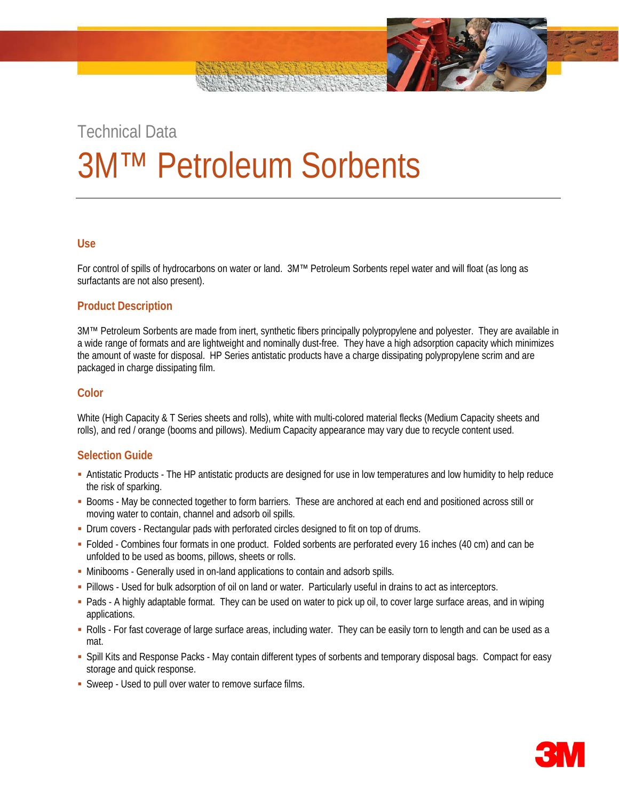# Technical Data 3M™ Petroleum Sorbents

# **Use**

For control of spills of hydrocarbons on water or land. 3M™ Petroleum Sorbents repel water and will float (as long as surfactants are not also present).

# **Product Description**

3M™ Petroleum Sorbents are made from inert, synthetic fibers principally polypropylene and polyester. They are available in a wide range of formats and are lightweight and nominally dust-free. They have a high adsorption capacity which minimizes the amount of waste for disposal. HP Series antistatic products have a charge dissipating polypropylene scrim and are packaged in charge dissipating film.

#### **Color**

White (High Capacity & T Series sheets and rolls), white with multi-colored material flecks (Medium Capacity sheets and rolls), and red / orange (booms and pillows). Medium Capacity appearance may vary due to recycle content used.

#### **Selection Guide**

- Antistatic Products The HP antistatic products are designed for use in low temperatures and low humidity to help reduce the risk of sparking.
- Booms May be connected together to form barriers. These are anchored at each end and positioned across still or moving water to contain, channel and adsorb oil spills.
- Drum covers Rectangular pads with perforated circles designed to fit on top of drums.
- Folded Combines four formats in one product. Folded sorbents are perforated every 16 inches (40 cm) and can be unfolded to be used as booms, pillows, sheets or rolls.
- Minibooms Generally used in on-land applications to contain and adsorb spills.
- Pillows Used for bulk adsorption of oil on land or water. Particularly useful in drains to act as interceptors.
- Pads A highly adaptable format. They can be used on water to pick up oil, to cover large surface areas, and in wiping applications.
- Rolls For fast coverage of large surface areas, including water. They can be easily torn to length and can be used as a mat.
- Spill Kits and Response Packs May contain different types of sorbents and temporary disposal bags. Compact for easy storage and quick response.
- Sweep Used to pull over water to remove surface films.

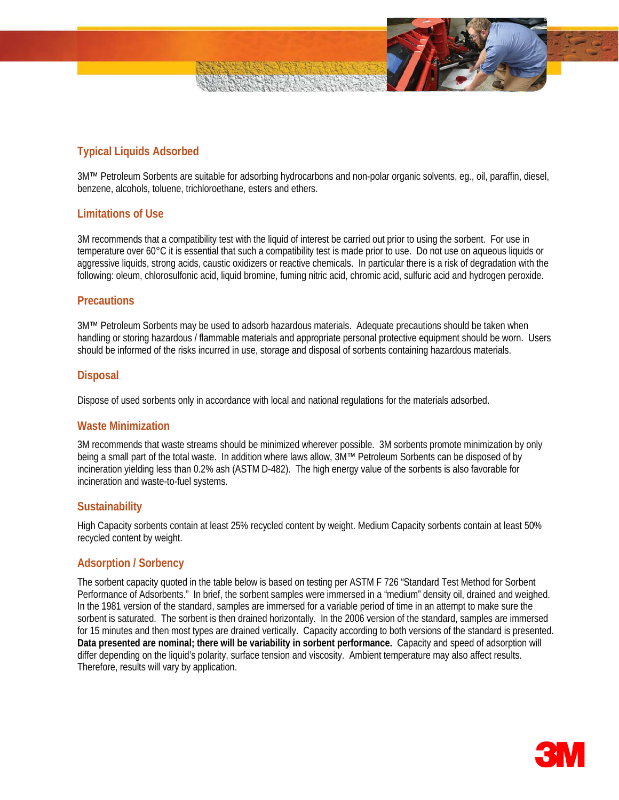# **Typical Liquids Adsorbed**

3M™ Petroleum Sorbents are suitable for adsorbing hydrocarbons and non-polar organic solvents, eg., oil, paraffin, diesel, benzene, alcohols, toluene, trichloroethane, esters and ethers.

#### **Limitations of Use**

3M recommends that a compatibility test with the liquid of interest be carried out prior to using the sorbent. For use in temperature over 60°C it is essential that such a compatibility test is made prior to use. Do not use on aqueous liquids or aggressive liquids, strong acids, caustic oxidizers or reactive chemicals. In particular there is a risk of degradation with the following: oleum, chlorosulfonic acid, liquid bromine, fuming nitric acid, chromic acid, sulfuric acid and hydrogen peroxide.

#### **Precautions**

3M™ Petroleum Sorbents may be used to adsorb hazardous materials. Adequate precautions should be taken when handling or storing hazardous / flammable materials and appropriate personal protective equipment should be worn. Users should be informed of the risks incurred in use, storage and disposal of sorbents containing hazardous materials.

# **Disposal**

Dispose of used sorbents only in accordance with local and national regulations for the materials adsorbed.

#### **Waste Minimization**

3M recommends that waste streams should be minimized wherever possible. 3M sorbents promote minimization by only being a small part of the total waste. In addition where laws allow, 3M™ Petroleum Sorbents can be disposed of by incineration yielding less than 0.2% ash (ASTM D-482). The high energy value of the sorbents is also favorable for incineration and waste-to-fuel systems.

#### **Sustainability**

High Capacity sorbents contain at least 25% recycled content by weight. Medium Capacity sorbents contain at least 50% recycled content by weight.

#### **Adsorption / Sorbency**

The sorbent capacity quoted in the table below is based on testing per ASTM F 726 "Standard Test Method for Sorbent Performance of Adsorbents." In brief, the sorbent samples were immersed in a "medium" density oil, drained and weighed. In the 1981 version of the standard, samples are immersed for a variable period of time in an attempt to make sure the sorbent is saturated. The sorbent is then drained horizontally. In the 2006 version of the standard, samples are immersed for 15 minutes and then most types are drained vertically. Capacity according to both versions of the standard is presented. **Data presented are nominal; there will be variability in sorbent performance.** Capacity and speed of adsorption will differ depending on the liquid's polarity, surface tension and viscosity. Ambient temperature may also affect results. Therefore, results will vary by application.

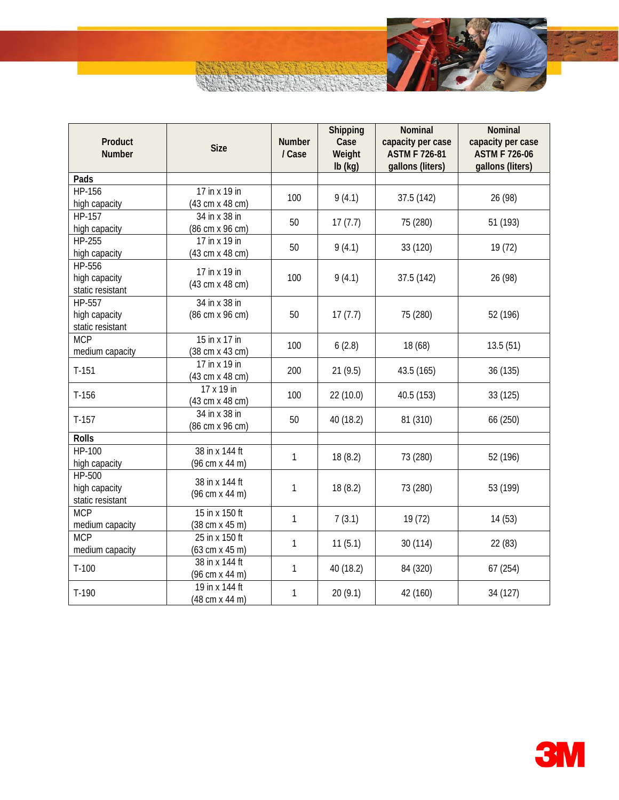**Product Number Size Number / Case Shipping Case Weight lb (kg) Nominal capacity per case ASTM F 726-81 gallons (liters) Nominal capacity per case ASTM F 726-06 gallons (liters) Pads** HP -156 high capacity 17 in x 19 in  $(43 \text{ cm} \times 48 \text{ cm})$  100 9 (4.1) 37.5 (142) 26 (98) HP -157 high capacity 34 in x 38 in  $(86 \text{ cm} \times 96 \text{ cm})$  50 17 (7.7) 75 (280) 51 (193) HP -255 high capacity 17 in x 19 in  $(43 \text{ cm} \times 48 \text{ cm})$  50 9 (4.1) 33 (120) 19 (72) HP -556 high capacity static resistant 17 in x 19 in  $(43 \text{ cm} \times 48 \text{ cm})$  100 9 (4.1) 37.5 (142) 26 (98) HP -557 high capacity static resistant 34 in x 38 in  $(86 \text{ cm} \times 96 \text{ cm})$  50 17 (7.7) 75 (280) 52 (196) **MCP** medium capacity 15 in x 17 in  $(38 \text{ cm} \times 43 \text{ cm})$  100 6 (2.8) 18 (68) 13.5 (51) T-151 17 in x 19 in  $(43 \text{ cm} \times 48 \text{ cm})$  200 21 (9.5) 43.5 (165) 36 (135) T-156 17 x 19 in  $(43 \text{ cm} \times 48 \text{ cm})$  100 22 (10.0) 40.5 (153) 33 (125)  $T-157$ 34 in x 38 in  $(86 \text{ cm} \times 96 \text{ cm})$  50 40 (18.2) 81 (310) 66 (250) **Rolls** HP -100 high capacity 38 in x 144 ft (96 cm x 44 m) 1 18 (8.2) 73 (280) 52 (196) HP -500 high capacity static resistant 38 in x 144 ft (96 cm x 44 m) 1 18 (8.2) 73 (280) 53 (199) **MCP** medium capacity 15 in x 150 ft (38 cm x 45 m) 1  $7 (3.1)$  19 (72) 14 (53) MCP medium capacity 25 in x 150 ft (63 cm x 45 m) 1 11 (5.1) 30 (114) 22 (83) T-100 38 in x 144 ft (96 cm x 44 m) 1 40 (18.2) 84 (320) 67 (254) T 19 in x 144 ft (48 cm x 44 m) 1 20 (9.1) 42 (160) 34 (127)

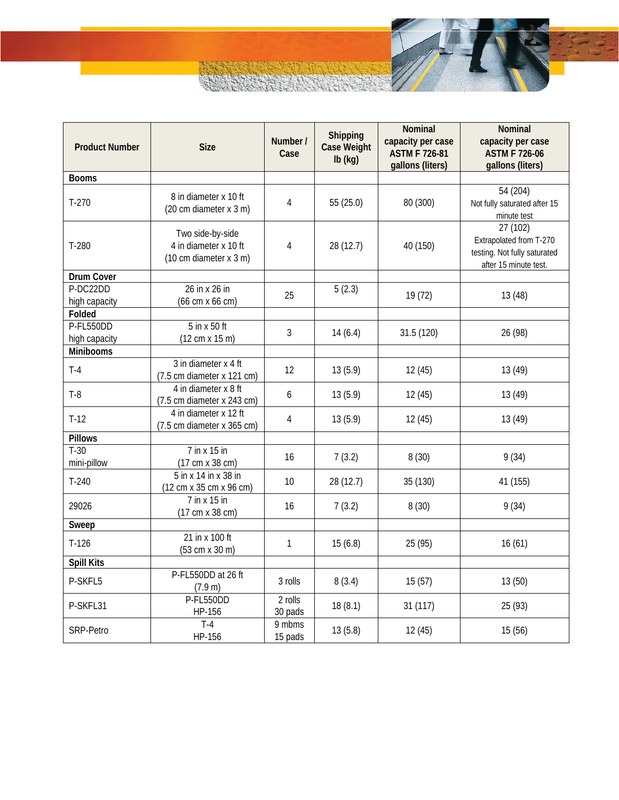**Product Number**  $\begin{array}{|c|c|c|c|}\n\hline\n\end{array}$  **Size**  $\begin{array}{|c|c|c|c|}\n\hline\n\end{array}$  **Number** / **Case Shipping Case Weight lb (kg) Nominal capacity per case ASTM F 726-81 gallons (liters) Nominal capacity per case ASTM F 726-06 gallons (liters) Booms** T-270 8 in diameter x 10 ft  $(20 \text{ cm diameter x } 3 \text{ m})$  4 55 (25.0) 80 (300) 54 (204) Not fully saturated after 15 minute test T-280 Two side-by-side 4 in diameter x 10 ft (10 cm diameter x 3 m) 4 28 (12.7) 40 (150) 27 (102) Extrapolated from T-270 testing. Not fully saturated after 15 minute test. **Drum Cover** P-DC22DD high capacity 26 in x 26 in 26 in x 26 in  $(66 \text{ cm} \times 66 \text{ cm})$  25  $(5(2.3)$  19 (72) 13 (48) **Folded** P-FL550DD high capacity 5 in x 50 ft  $(12 \text{ cm x 15 m})$  3 14 (6.4) 31.5 (120) 26 (98) **Minibooms**  $T-4$  3 in diameter x 4 ft  $(7.5 \text{ cm diameter x } 121 \text{ cm})$  12 13 (5.9) 12 12 (45) 13 (49)  $T-8$  4 in diameter x 8 ft  $(7.5 \text{ cm diameter x } 243 \text{ cm})$  6 13 (5.9) 12 (45) 13 (49) T-12 4 in diameter x 12 ft 4 in diameter x 12 it<br>
(7.5 cm diameter x 365 cm)  $4 \mid 13(5.9) \mid 12(45) \mid 13(49)$ **Pillows** T-30 mini-pillow 7 in x 15 in  $(17 \text{ cm x } 38 \text{ cm})$  16 7 (3.2) 8 (30) 9 (34)  $T-240$  5 in x 14 in x 38 in  $(12 \text{ cm} \times 35 \text{ cm} \times 96 \text{ cm})$  10 28 (12.7) 35 (130) 41 (155) <sup>29026</sup> 7 in x 15 in  $(17 \text{ cm} \times 38 \text{ cm})$  16 7 (3.2) 8 (30) 9 (34) **Sweep** T-126 21 in x 100 ft  $(53 \text{ cm x } 30 \text{ m})$  1 15 (6.8) 25 (95) 16 (61) **Spill Kits**  P-SKFL5 P-SKFL5 P-SKFL5 P-SKFL5 (7.9 m) 3 rolls  $(3.4)$  15 (57) 13 (50) P-SKFL31 P-FL550DD  $\frac{HP-156}{T-4}$ 2 rolls<br>30 pads  $\frac{210}{30}$  pads 18 (8.1) 31 (117) 25 (93) SRP-Petro HP-156 9 mbms 15 pads 13 (5.8) 12 (45) 15 (56)